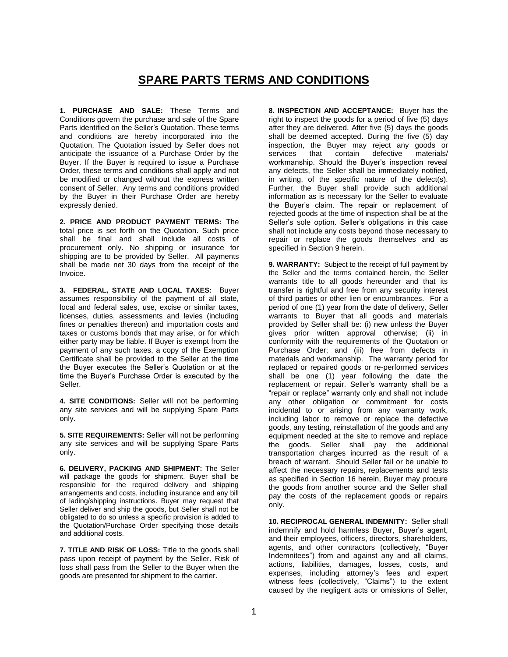## **SPARE PARTS TERMS AND CONDITIONS**

**1. PURCHASE AND SALE:** These Terms and Conditions govern the purchase and sale of the Spare Parts identified on the Seller's Quotation. These terms and conditions are hereby incorporated into the Quotation. The Quotation issued by Seller does not anticipate the issuance of a Purchase Order by the Buyer. If the Buyer is required to issue a Purchase Order, these terms and conditions shall apply and not be modified or changed without the express written consent of Seller. Any terms and conditions provided by the Buyer in their Purchase Order are hereby expressly denied.

**2. PRICE AND PRODUCT PAYMENT TERMS:** The total price is set forth on the Quotation. Such price shall be final and shall include all costs of procurement only. No shipping or insurance for shipping are to be provided by Seller. All payments shall be made net 30 days from the receipt of the Invoice.

**3. FEDERAL, STATE AND LOCAL TAXES:** Buyer assumes responsibility of the payment of all state, local and federal sales, use, excise or similar taxes, licenses, duties, assessments and levies (including fines or penalties thereon) and importation costs and taxes or customs bonds that may arise, or for which either party may be liable. If Buyer is exempt from the payment of any such taxes, a copy of the Exemption Certificate shall be provided to the Seller at the time the Buyer executes the Seller's Quotation or at the time the Buyer's Purchase Order is executed by the Seller.

**4. SITE CONDITIONS:** Seller will not be performing any site services and will be supplying Spare Parts only.

**5. SITE REQUIREMENTS:** Seller will not be performing any site services and will be supplying Spare Parts only.

**6. DELIVERY, PACKING AND SHIPMENT:** The Seller will package the goods for shipment. Buyer shall be responsible for the required delivery and shipping arrangements and costs, including insurance and any bill of lading/shipping instructions. Buyer may request that Seller deliver and ship the goods, but Seller shall not be obligated to do so unless a specific provision is added to the Quotation/Purchase Order specifying those details and additional costs.

**7. TITLE AND RISK OF LOSS:** Title to the goods shall pass upon receipt of payment by the Seller. Risk of loss shall pass from the Seller to the Buyer when the goods are presented for shipment to the carrier.

**8. INSPECTION AND ACCEPTANCE:** Buyer has the right to inspect the goods for a period of five (5) days after they are delivered. After five (5) days the goods shall be deemed accepted. During the five (5) day inspection, the Buyer may reject any goods or services that contain defective materials/ workmanship. Should the Buyer's inspection reveal any defects, the Seller shall be immediately notified, in writing, of the specific nature of the defect(s). Further, the Buyer shall provide such additional information as is necessary for the Seller to evaluate the Buyer's claim. The repair or replacement of rejected goods at the time of inspection shall be at the Seller's sole option. Seller's obligations in this case shall not include any costs beyond those necessary to repair or replace the goods themselves and as specified in Section 9 herein.

**9. WARRANTY:** Subject to the receipt of full payment by the Seller and the terms contained herein, the Seller warrants title to all goods hereunder and that its transfer is rightful and free from any security interest of third parties or other lien or encumbrances. For a period of one (1) year from the date of delivery, Seller warrants to Buyer that all goods and materials provided by Seller shall be: (i) new unless the Buyer gives prior written approval otherwise; (ii) in conformity with the requirements of the Quotation or Purchase Order; and (iii) free from defects in materials and workmanship. The warranty period for replaced or repaired goods or re-performed services shall be one (1) year following the date the replacement or repair. Seller's warranty shall be a "repair or replace" warranty only and shall not include any other obligation or commitment for costs incidental to or arising from any warranty work, including labor to remove or replace the defective goods, any testing, reinstallation of the goods and any equipment needed at the site to remove and replace the goods. Seller shall pay the additional transportation charges incurred as the result of a breach of warrant. Should Seller fail or be unable to affect the necessary repairs, replacements and tests as specified in Section 16 herein, Buyer may procure the goods from another source and the Seller shall pay the costs of the replacement goods or repairs only.

**10. RECIPROCAL GENERAL INDEMNITY:** Seller shall indemnify and hold harmless Buyer, Buyer's agent, and their employees, officers, directors, shareholders, agents, and other contractors (collectively, "Buyer Indemnitees") from and against any and all claims, actions, liabilities, damages, losses, costs, and expenses, including attorney's fees and expert witness fees (collectively, "Claims") to the extent caused by the negligent acts or omissions of Seller,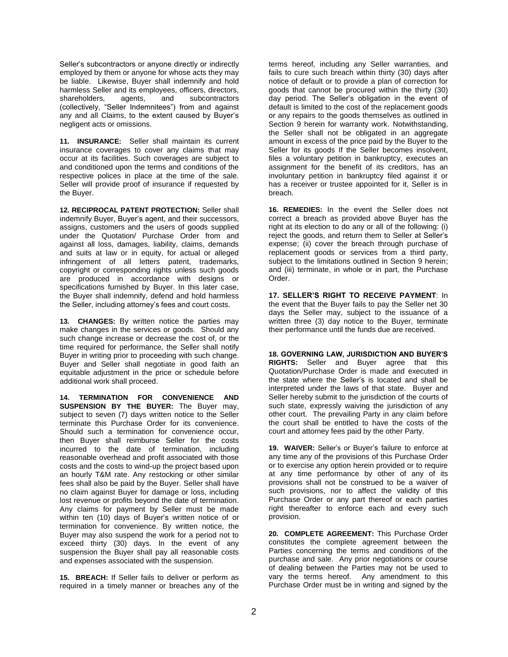Seller's subcontractors or anyone directly or indirectly employed by them or anyone for whose acts they may be liable. Likewise, Buyer shall indemnify and hold harmless Seller and its employees, officers, directors, shareholders, agents, and subcontractors (collectively, "Seller Indemnitees") from and against any and all Claims, to the extent caused by Buyer's negligent acts or omissions.

**11. INSURANCE:** Seller shall maintain its current insurance coverages to cover any claims that may occur at its facilities. Such coverages are subject to and conditioned upon the terms and conditions of the respective polices in place at the time of the sale. Seller will provide proof of insurance if requested by the Buyer.

**12. RECIPROCAL PATENT PROTECTION:** Seller shall indemnify Buyer, Buyer's agent, and their successors, assigns, customers and the users of goods supplied under the Quotation/ Purchase Order from and against all loss, damages, liability, claims, demands and suits at law or in equity, for actual or alleged infringement of all letters patent, trademarks, copyright or corresponding rights unless such goods are produced in accordance with designs or specifications furnished by Buyer. In this later case, the Buyer shall indemnify, defend and hold harmless the Seller, including attorney's fees and court costs.

**13. CHANGES:** By written notice the parties may make changes in the services or goods. Should any such change increase or decrease the cost of, or the time required for performance, the Seller shall notify Buyer in writing prior to proceeding with such change. Buyer and Seller shall negotiate in good faith an equitable adjustment in the price or schedule before additional work shall proceed.

**14. TERMINATION FOR CONVENIENCE AND SUSPENSION BY THE BUYER:** The Buyer may, subject to seven (7) days written notice to the Seller terminate this Purchase Order for its convenience. Should such a termination for convenience occur, then Buyer shall reimburse Seller for the costs incurred to the date of termination, including reasonable overhead and profit associated with those costs and the costs to wind-up the project based upon an hourly T&M rate. Any restocking or other similar fees shall also be paid by the Buyer. Seller shall have no claim against Buyer for damage or loss, including lost revenue or profits beyond the date of termination. Any claims for payment by Seller must be made within ten (10) days of Buyer's written notice of or termination for convenience. By written notice, the Buyer may also suspend the work for a period not to exceed thirty (30) days. In the event of any suspension the Buyer shall pay all reasonable costs and expenses associated with the suspension.

**15. BREACH:** If Seller fails to deliver or perform as required in a timely manner or breaches any of the terms hereof, including any Seller warranties, and fails to cure such breach within thirty (30) days after notice of default or to provide a plan of correction for goods that cannot be procured within the thirty (30) day period. The Seller's obligation in the event of default is limited to the cost of the replacement goods or any repairs to the goods themselves as outlined in Section 9 herein for warranty work. Notwithstanding, the Seller shall not be obligated in an aggregate amount in excess of the price paid by the Buyer to the Seller for its goods If the Seller becomes insolvent, files a voluntary petition in bankruptcy, executes an assignment for the benefit of its creditors, has an involuntary petition in bankruptcy filed against it or has a receiver or trustee appointed for it, Seller is in breach.

**16. REMEDIES:** In the event the Seller does not correct a breach as provided above Buyer has the right at its election to do any or all of the following: (i) reject the goods, and return them to Seller at Seller's expense; (ii) cover the breach through purchase of replacement goods or services from a third party, subject to the limitations outlined in Section 9 herein; and (iii) terminate, in whole or in part, the Purchase Order.

**17. SELLER'S RIGHT TO RECEIVE PAYMENT**: In the event that the Buyer fails to pay the Seller net 30 days the Seller may, subject to the issuance of a written three (3) day notice to the Buyer, terminate their performance until the funds due are received.

**18. GOVERNING LAW, JURISDICTION AND BUYER'S RIGHTS:** Seller and Buyer agree that this Quotation/Purchase Order is made and executed in the state where the Seller's is located and shall be interpreted under the laws of that state. Buyer and Seller hereby submit to the jurisdiction of the courts of such state, expressly waiving the jurisdiction of any other court. The prevailing Party in any claim before the court shall be entitled to have the costs of the court and attorney fees paid by the other Party.

**19. WAIVER:** Seller's or Buyer's failure to enforce at any time any of the provisions of this Purchase Order or to exercise any option herein provided or to require at any time performance by other of any of its provisions shall not be construed to be a waiver of such provisions, nor to affect the validity of this Purchase Order or any part thereof or each parties right thereafter to enforce each and every such provision.

**20. COMPLETE AGREEMENT:** This Purchase Order constitutes the complete agreement between the Parties concerning the terms and conditions of the purchase and sale. Any prior negotiations or course of dealing between the Parties may not be used to vary the terms hereof. Any amendment to this Purchase Order must be in writing and signed by the